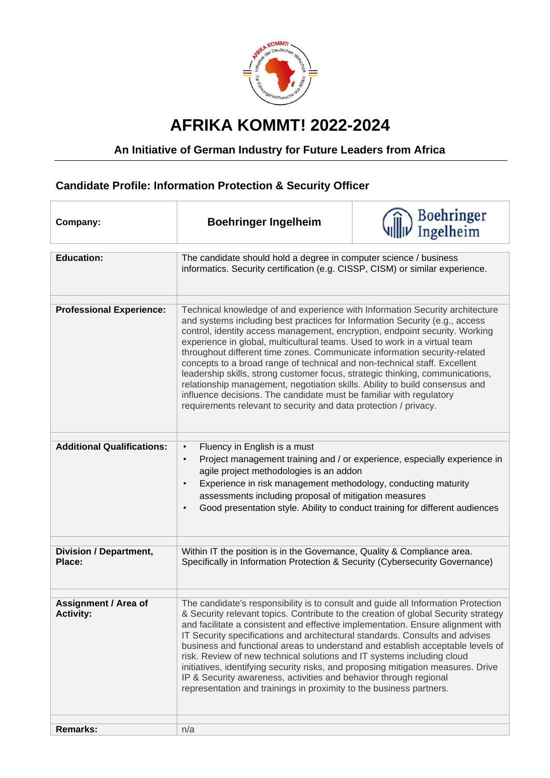

## **AFRIKA KOMMT! 2022-2024**

## **An Initiative of German Industry for Future Leaders from Africa**

## **Candidate Profile: Information Protection & Security Officer**

| Company:                                        | <b>Boehringer Ingelheim</b>                                                                                                                                                                                                                                                                                                                                                                                                                                                                                                                                                                                                                                                                                                                                                                  | Boehringer<br>Ingelheim |
|-------------------------------------------------|----------------------------------------------------------------------------------------------------------------------------------------------------------------------------------------------------------------------------------------------------------------------------------------------------------------------------------------------------------------------------------------------------------------------------------------------------------------------------------------------------------------------------------------------------------------------------------------------------------------------------------------------------------------------------------------------------------------------------------------------------------------------------------------------|-------------------------|
| <b>Education:</b>                               | The candidate should hold a degree in computer science / business<br>informatics. Security certification (e.g. CISSP, CISM) or similar experience.                                                                                                                                                                                                                                                                                                                                                                                                                                                                                                                                                                                                                                           |                         |
| <b>Professional Experience:</b>                 | Technical knowledge of and experience with Information Security architecture<br>and systems including best practices for Information Security (e.g., access<br>control, identity access management, encryption, endpoint security. Working<br>experience in global, multicultural teams. Used to work in a virtual team<br>throughout different time zones. Communicate information security-related<br>concepts to a broad range of technical and non-technical staff. Excellent<br>leadership skills, strong customer focus, strategic thinking, communications,<br>relationship management, negotiation skills. Ability to build consensus and<br>influence decisions. The candidate must be familiar with regulatory<br>requirements relevant to security and data protection / privacy. |                         |
| <b>Additional Qualifications:</b>               | Fluency in English is a must<br>$\bullet$<br>Project management training and / or experience, especially experience in<br>$\bullet$<br>agile project methodologies is an addon<br>Experience in risk management methodology, conducting maturity<br>assessments including proposal of mitigation measures<br>Good presentation style. Ability to conduct training for different audiences<br>$\bullet$                                                                                                                                                                                                                                                                                                                                                                                       |                         |
| <b>Division / Department,</b><br>Place:         | Within IT the position is in the Governance, Quality & Compliance area.<br>Specifically in Information Protection & Security (Cybersecurity Governance)                                                                                                                                                                                                                                                                                                                                                                                                                                                                                                                                                                                                                                      |                         |
| <b>Assignment / Area of</b><br><b>Activity:</b> | The candidate's responsibility is to consult and guide all Information Protection<br>& Security relevant topics. Contribute to the creation of global Security strategy<br>and facilitate a consistent and effective implementation. Ensure alignment with<br>IT Security specifications and architectural standards. Consults and advises<br>business and functional areas to understand and establish acceptable levels of<br>risk. Review of new technical solutions and IT systems including cloud<br>initiatives, identifying security risks, and proposing mitigation measures. Drive<br>IP & Security awareness, activities and behavior through regional<br>representation and trainings in proximity to the business partners.                                                      |                         |
| <b>Remarks:</b>                                 | n/a                                                                                                                                                                                                                                                                                                                                                                                                                                                                                                                                                                                                                                                                                                                                                                                          |                         |